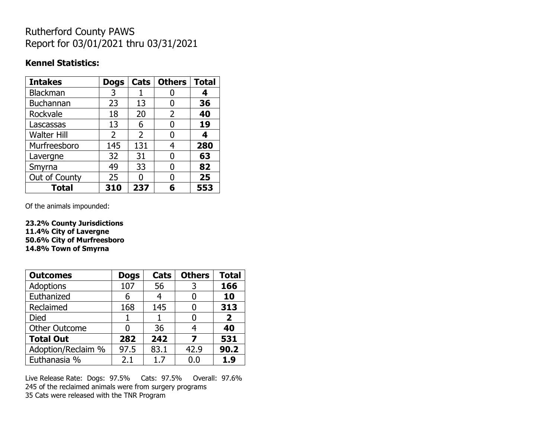## Rutherford County PAWS Report for 03/01/2021 thru 03/31/2021

#### **Kennel Statistics:**

| <b>Intakes</b>     | <b>Dogs</b>    | Cats           | <b>Others</b> | <b>Total</b> |
|--------------------|----------------|----------------|---------------|--------------|
| Blackman           | 3              |                |               | 4            |
| Buchannan          | 23             | 13             | O             | 36           |
| Rockvale           | 18             | 20             | 2             | 40           |
| Lascassas          | 13             | 6              | 0             | 19           |
| <b>Walter Hill</b> | $\overline{2}$ | $\overline{2}$ | O             | 4            |
| Murfreesboro       | 145            | 131            | 4             | 280          |
| Lavergne           | 32             | 31             | O             | 63           |
| Smyrna             | 49             | 33             | O             | 82           |
| Out of County      | 25             | O              | O             | 25           |
| <b>Total</b>       | 310            | 237            | 6             | 553          |

Of the animals impounded:

**23.2% County Jurisdictions 11.4% City of Lavergne 50.6% City of Murfreesboro 14.8% Town of Smyrna**

| <b>Outcomes</b>      | <b>Dogs</b> | Cats | <b>Others</b> | <b>Total</b>   |
|----------------------|-------------|------|---------------|----------------|
| Adoptions            | 107         | 56   | 3             | 166            |
| Euthanized           | 6           |      |               | 10             |
| Reclaimed            | 168         | 145  |               | 313            |
| <b>Died</b>          |             |      |               | $\overline{2}$ |
| <b>Other Outcome</b> | 0           | 36   | 4             | 40             |
| <b>Total Out</b>     | 282         | 242  | 7             | 531            |
| Adoption/Reclaim %   | 97.5        | 83.1 | 42.9          | 90.2           |
| Euthanasia %         | 2.1         | 1.7  | 0.0           | 1.9            |

Live Release Rate: Dogs: 97.5% Cats: 97.5% Overall: 97.6% 245 of the reclaimed animals were from surgery programs 35 Cats were released with the TNR Program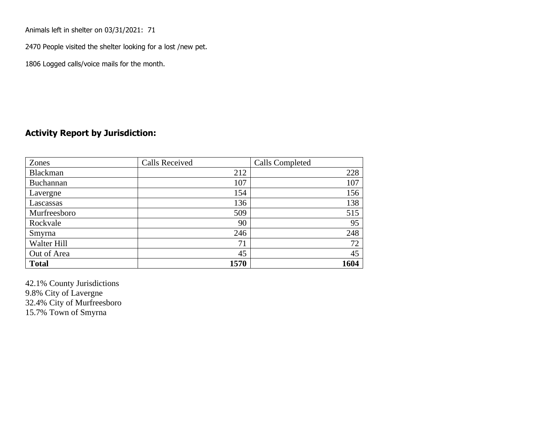Animals left in shelter on 03/31/2021: 71

2470 People visited the shelter looking for a lost /new pet.

1806 Logged calls/voice mails for the month.

#### **Activity Report by Jurisdiction:**

| Zones           | <b>Calls Received</b> | Calls Completed |
|-----------------|-----------------------|-----------------|
| <b>Blackman</b> | 212                   | 228             |
| Buchannan       | 107                   | 107             |
| Lavergne        | 154                   | 156             |
| Lascassas       | 136                   | 138             |
| Murfreesboro    | 509                   | 515             |
| Rockvale        | 90                    | 95              |
| Smyrna          | 246                   | 248             |
| Walter Hill     | 71                    | 72              |
| Out of Area     | 45                    | 45              |
| <b>Total</b>    | 1570                  | 1604            |

42.1% County Jurisdictions 9.8% City of Lavergne 32.4% City of Murfreesboro 15.7% Town of Smyrna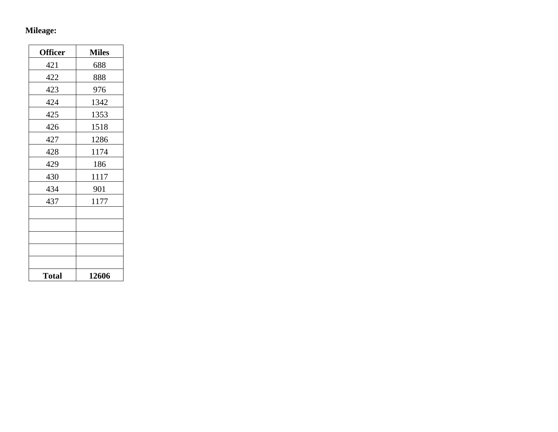# **Mileage:**

| <b>Officer</b> | <b>Miles</b> |
|----------------|--------------|
| 421            | 688          |
| 422            | 888          |
| 423            | 976          |
| 424            | 1342         |
| 425            | 1353         |
| 426            | 1518         |
| 427            | 1286         |
| 428            | 1174         |
| 429            | 186          |
| 430            | 1117         |
| 434            | 901          |
| 437            | 1177         |
|                |              |
|                |              |
|                |              |
|                |              |
|                |              |
| <b>Total</b>   | 12606        |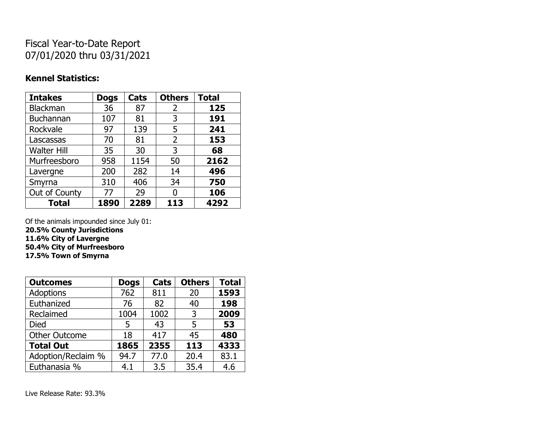## Fiscal Year-to-Date Report 07/01/2020 thru 03/31/2021

### **Kennel Statistics:**

| <b>Intakes</b>     | <b>Dogs</b> | Cats | <b>Others</b> | <b>Total</b> |
|--------------------|-------------|------|---------------|--------------|
| Blackman           | 36          | 87   | 2             | 125          |
| <b>Buchannan</b>   | 107         | 81   | 3             | 191          |
| Rockvale           | 97          | 139  | 5             | 241          |
| Lascassas          | 70          | 81   | 2             | 153          |
| <b>Walter Hill</b> | 35          | 30   | 3             | 68           |
| Murfreesboro       | 958         | 1154 | 50            | 2162         |
| Lavergne           | 200         | 282  | 14            | 496          |
| Smyrna             | 310         | 406  | 34            | 750          |
| Out of County      | 77          | 29   | 0             | 106          |
| <b>Total</b>       | 1890        | 2289 | 113           | 4292         |

Of the animals impounded since July 01:

**20.5% County Jurisdictions**

**11.6% City of Lavergne**

**50.4% City of Murfreesboro**

**17.5% Town of Smyrna**

| <b>Outcomes</b>      | <b>Dogs</b> | Cats | <b>Others</b> | <b>Total</b> |
|----------------------|-------------|------|---------------|--------------|
| <b>Adoptions</b>     | 762         | 811  | 20            | 1593         |
| Euthanized           | 76          | 82   | 40            | 198          |
| Reclaimed            | 1004        | 1002 | 3             | 2009         |
| Died                 | 5           | 43   | 5             | 53           |
| <b>Other Outcome</b> | 18          | 417  | 45            | 480          |
| <b>Total Out</b>     | 1865        | 2355 | 113           | 4333         |
| Adoption/Reclaim %   | 94.7        | 77.0 | 20.4          | 83.1         |
| Euthanasia %         | 4.1         | 3.5  | 35.4          | 4.6          |

Live Release Rate: 93.3%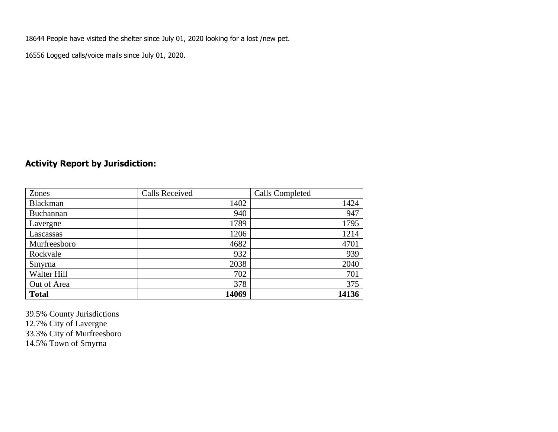18644 People have visited the shelter since July 01, 2020 looking for a lost /new pet.

16556 Logged calls/voice mails since July 01, 2020.

### **Activity Report by Jurisdiction:**

| Zones           | <b>Calls Received</b> | Calls Completed |
|-----------------|-----------------------|-----------------|
| <b>Blackman</b> | 1402                  | 1424            |
| Buchannan       | 940                   | 947             |
| Lavergne        | 1789                  | 1795            |
| Lascassas       | 1206                  | 1214            |
| Murfreesboro    | 4682                  | 4701            |
| Rockvale        | 932                   | 939             |
| Smyrna          | 2038                  | 2040            |
| Walter Hill     | 702                   | 701             |
| Out of Area     | 378                   | 375             |
| <b>Total</b>    | 14069                 | 14136           |

39.5% County Jurisdictions 12.7% City of Lavergne 33.3% City of Murfreesboro 14.5% Town of Smyrna